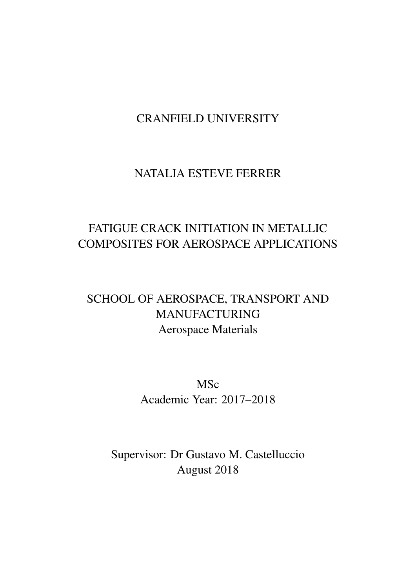### CRANFIELD UNIVERSITY

### NATALIA ESTEVE FERRER

### FATIGUE CRACK INITIATION IN METALLIC COMPOSITES FOR AEROSPACE APPLICATIONS

### SCHOOL OF AEROSPACE, TRANSPORT AND MANUFACTURING Aerospace Materials

MSc Academic Year: 2017–2018

Supervisor: Dr Gustavo M. Castelluccio August 2018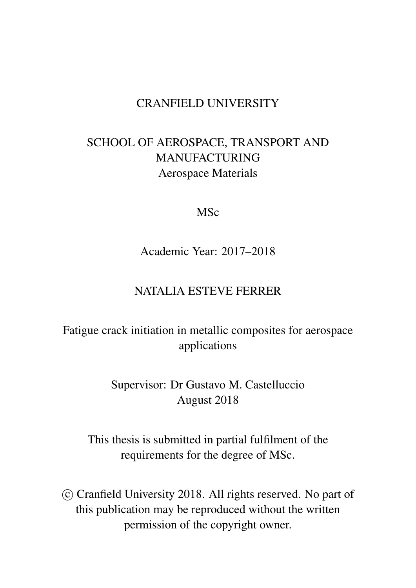### CRANFIELD UNIVERSITY

### SCHOOL OF AEROSPACE, TRANSPORT AND MANUFACTURING Aerospace Materials

#### MSc

Academic Year: 2017–2018

### NATALIA ESTEVE FERRER

### Fatigue crack initiation in metallic composites for aerospace applications

Supervisor: Dr Gustavo M. Castelluccio August 2018

This thesis is submitted in partial fulfilment of the requirements for the degree of MSc.

 c Cranfield University 2018. All rights reserved. No part of this publication may be reproduced without the written permission of the copyright owner.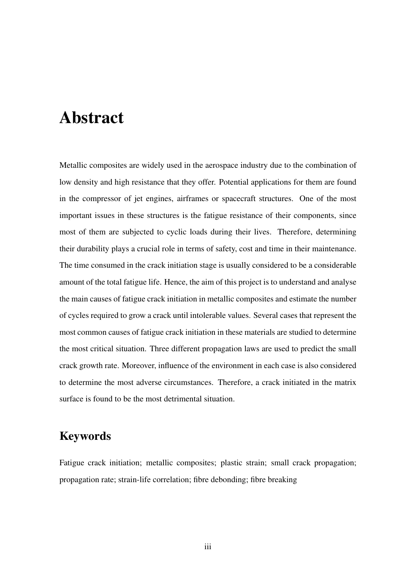## <span id="page-2-0"></span>Abstract

Metallic composites are widely used in the aerospace industry due to the combination of low density and high resistance that they offer. Potential applications for them are found in the compressor of jet engines, airframes or spacecraft structures. One of the most important issues in these structures is the fatigue resistance of their components, since most of them are subjected to cyclic loads during their lives. Therefore, determining their durability plays a crucial role in terms of safety, cost and time in their maintenance. The time consumed in the crack initiation stage is usually considered to be a considerable amount of the total fatigue life. Hence, the aim of this project is to understand and analyse the main causes of fatigue crack initiation in metallic composites and estimate the number of cycles required to grow a crack until intolerable values. Several cases that represent the most common causes of fatigue crack initiation in these materials are studied to determine the most critical situation. Three different propagation laws are used to predict the small crack growth rate. Moreover, influence of the environment in each case is also considered to determine the most adverse circumstances. Therefore, a crack initiated in the matrix surface is found to be the most detrimental situation.

### Keywords

Fatigue crack initiation; metallic composites; plastic strain; small crack propagation; propagation rate; strain-life correlation; fibre debonding; fibre breaking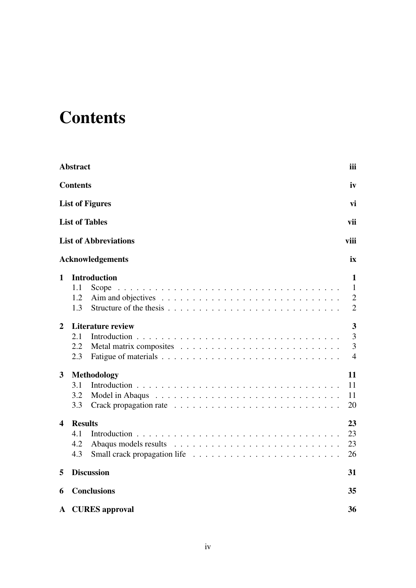## <span id="page-3-0"></span>**Contents**

|                | <b>Abstract</b>                                   | iii                                                             |
|----------------|---------------------------------------------------|-----------------------------------------------------------------|
|                | <b>Contents</b>                                   | iv                                                              |
|                | <b>List of Figures</b>                            | vi                                                              |
|                | <b>List of Tables</b>                             | vii                                                             |
|                | <b>List of Abbreviations</b>                      | viii                                                            |
|                | <b>Acknowledgements</b>                           | ix                                                              |
| $\mathbf{1}$   | <b>Introduction</b><br>1.1<br>Scope<br>1.2<br>1.3 | $\mathbf 1$<br>$\mathbf{1}$<br>$\overline{2}$<br>$\overline{2}$ |
| $\overline{2}$ | <b>Literature review</b><br>2.1<br>2.2<br>2.3     | 3<br>$\overline{3}$<br>$\overline{3}$<br>$\overline{4}$         |
| 3              | <b>Methodology</b><br>3.1<br>3.2<br>3.3           | 11<br>11<br>11<br>20                                            |
| 4              | <b>Results</b><br>4.1<br>4.2<br>4.3               | 23<br>23<br>23<br>26                                            |
| 5              | <b>Discussion</b>                                 | 31                                                              |
| 6              | <b>Conclusions</b>                                | 35                                                              |
| A              | <b>CURES</b> approval                             | 36                                                              |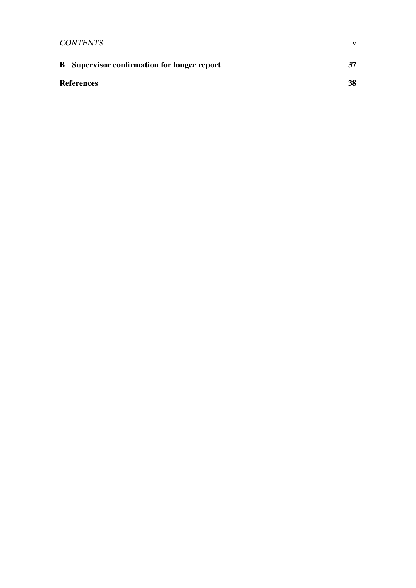| <b>CONTENTS</b>                                    | v  |
|----------------------------------------------------|----|
| <b>B</b> Supervisor confirmation for longer report | 37 |
| <b>References</b>                                  | 38 |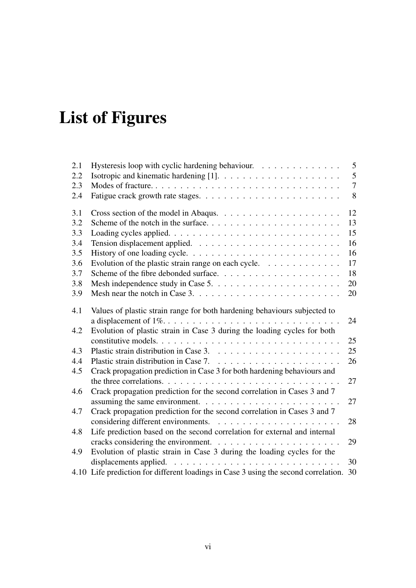## <span id="page-5-0"></span>List of Figures

| 2.1 | Hysteresis loop with cyclic hardening behaviour.                                         | 5              |
|-----|------------------------------------------------------------------------------------------|----------------|
| 2.2 |                                                                                          | $\mathfrak{S}$ |
| 2.3 |                                                                                          | $\overline{7}$ |
| 2.4 |                                                                                          | 8              |
| 3.1 |                                                                                          | 12             |
| 3.2 |                                                                                          | 13             |
| 3.3 |                                                                                          | 15             |
| 3.4 |                                                                                          | 16             |
| 3.5 |                                                                                          | 16             |
| 3.6 | Evolution of the plastic strain range on each cycle. $\dots \dots \dots \dots$           | 17             |
| 3.7 |                                                                                          | 18             |
| 3.8 |                                                                                          | 20             |
| 3.9 |                                                                                          | 20             |
| 4.1 | Values of plastic strain range for both hardening behaviours subjected to                |                |
|     |                                                                                          | 24             |
| 4.2 | Evolution of plastic strain in Case 3 during the loading cycles for both                 |                |
|     |                                                                                          | 25             |
| 4.3 |                                                                                          | 25             |
| 4.4 |                                                                                          | 26             |
| 4.5 | Crack propagation prediction in Case 3 for both hardening behaviours and                 |                |
|     |                                                                                          | 27             |
| 4.6 | Crack propagation prediction for the second correlation in Cases 3 and 7                 |                |
|     | assuming the same environment. $\ldots \ldots \ldots \ldots \ldots \ldots \ldots \ldots$ | 27             |
| 4.7 | Crack propagation prediction for the second correlation in Cases 3 and 7                 |                |
|     |                                                                                          | 28             |
| 4.8 | Life prediction based on the second correlation for external and internal                |                |
|     | cracks considering the environment. $\ldots \ldots \ldots \ldots \ldots \ldots \ldots$   | 29             |
| 4.9 | Evolution of plastic strain in Case 3 during the loading cycles for the                  |                |
|     | displacements applied. $\ldots \ldots \ldots \ldots \ldots \ldots \ldots \ldots \ldots$  | 30             |
|     | 4.10 Life prediction for different loadings in Case 3 using the second correlation. 30   |                |
|     |                                                                                          |                |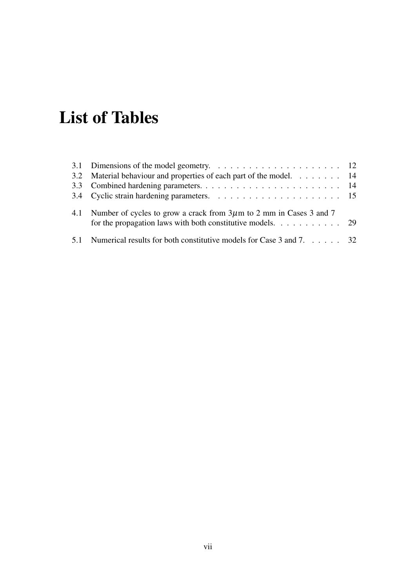## <span id="page-6-0"></span>List of Tables

| 3.2 Material behaviour and properties of each part of the model. 14                                                                                                 |  |
|---------------------------------------------------------------------------------------------------------------------------------------------------------------------|--|
|                                                                                                                                                                     |  |
|                                                                                                                                                                     |  |
| 4.1 Number of cycles to grow a crack from $3\mu$ m to 2 mm in Cases 3 and 7<br>for the propagation laws with both constitutive models. $\dots \dots \dots \dots$ 29 |  |
| 5.1 Numerical results for both constitutive models for Case 3 and 7. 32                                                                                             |  |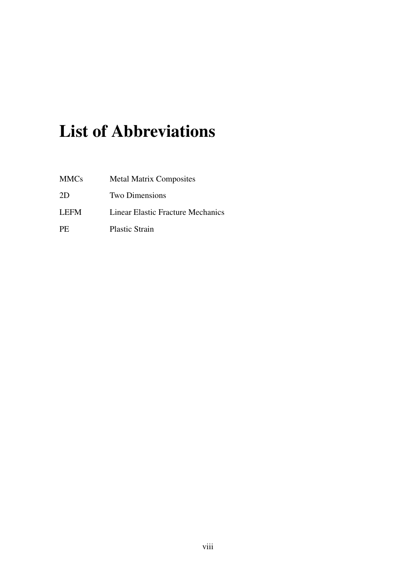## <span id="page-7-0"></span>List of Abbreviations

| <b>MMCs</b> | <b>Metal Matrix Composites</b>           |
|-------------|------------------------------------------|
| 2D          | <b>Two Dimensions</b>                    |
| <b>LEFM</b> | <b>Linear Elastic Fracture Mechanics</b> |
| PE.         | <b>Plastic Strain</b>                    |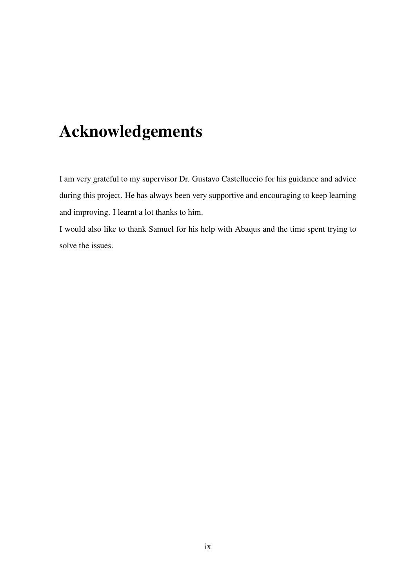## <span id="page-8-0"></span>Acknowledgements

I am very grateful to my supervisor Dr. Gustavo Castelluccio for his guidance and advice during this project. He has always been very supportive and encouraging to keep learning and improving. I learnt a lot thanks to him.

I would also like to thank Samuel for his help with Abaqus and the time spent trying to solve the issues.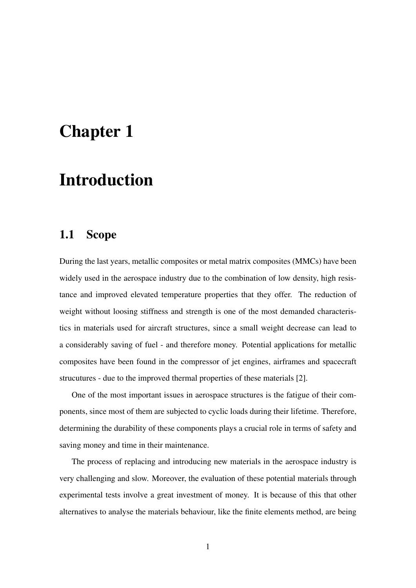## <span id="page-9-0"></span>Chapter 1

## Introduction

#### <span id="page-9-1"></span>1.1 Scope

During the last years, metallic composites or metal matrix composites (MMCs) have been widely used in the aerospace industry due to the combination of low density, high resistance and improved elevated temperature properties that they offer. The reduction of weight without loosing stiffness and strength is one of the most demanded characteristics in materials used for aircraft structures, since a small weight decrease can lead to a considerably saving of fuel - and therefore money. Potential applications for metallic composites have been found in the compressor of jet engines, airframes and spacecraft strucutures - due to the improved thermal properties of these materials [\[2\]](#page-46-2).

One of the most important issues in aerospace structures is the fatigue of their components, since most of them are subjected to cyclic loads during their lifetime. Therefore, determining the durability of these components plays a crucial role in terms of safety and saving money and time in their maintenance.

The process of replacing and introducing new materials in the aerospace industry is very challenging and slow. Moreover, the evaluation of these potential materials through experimental tests involve a great investment of money. It is because of this that other alternatives to analyse the materials behaviour, like the finite elements method, are being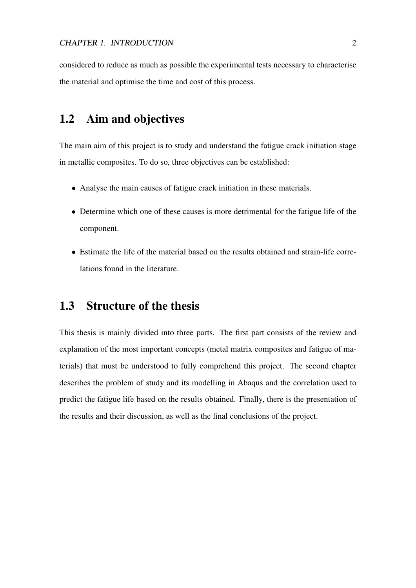considered to reduce as much as possible the experimental tests necessary to characterise the material and optimise the time and cost of this process.

#### <span id="page-10-0"></span>1.2 Aim and objectives

The main aim of this project is to study and understand the fatigue crack initiation stage in metallic composites. To do so, three objectives can be established:

- Analyse the main causes of fatigue crack initiation in these materials.
- Determine which one of these causes is more detrimental for the fatigue life of the component.
- Estimate the life of the material based on the results obtained and strain-life correlations found in the literature.

#### <span id="page-10-1"></span>1.3 Structure of the thesis

This thesis is mainly divided into three parts. The first part consists of the review and explanation of the most important concepts (metal matrix composites and fatigue of materials) that must be understood to fully comprehend this project. The second chapter describes the problem of study and its modelling in Abaqus and the correlation used to predict the fatigue life based on the results obtained. Finally, there is the presentation of the results and their discussion, as well as the final conclusions of the project.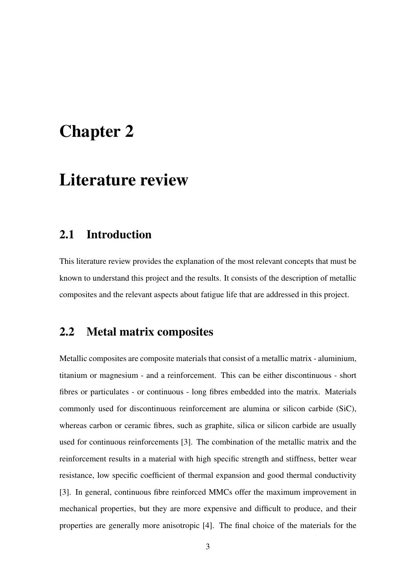## <span id="page-11-0"></span>Chapter 2

## Literature review

#### <span id="page-11-1"></span>2.1 Introduction

This literature review provides the explanation of the most relevant concepts that must be known to understand this project and the results. It consists of the description of metallic composites and the relevant aspects about fatigue life that are addressed in this project.

#### <span id="page-11-2"></span>2.2 Metal matrix composites

Metallic composites are composite materials that consist of a metallic matrix - aluminium, titanium or magnesium - and a reinforcement. This can be either discontinuous - short fibres or particulates - or continuous - long fibres embedded into the matrix. Materials commonly used for discontinuous reinforcement are alumina or silicon carbide (SiC), whereas carbon or ceramic fibres, such as graphite, silica or silicon carbide are usually used for continuous reinforcements [\[3\]](#page-46-3). The combination of the metallic matrix and the reinforcement results in a material with high specific strength and stiffness, better wear resistance, low specific coefficient of thermal expansion and good thermal conductivity [\[3\]](#page-46-3). In general, continuous fibre reinforced MMCs offer the maximum improvement in mechanical properties, but they are more expensive and difficult to produce, and their properties are generally more anisotropic [\[4\]](#page-46-4). The final choice of the materials for the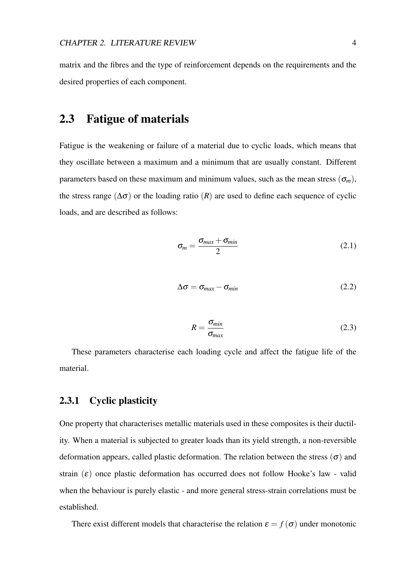matrix and the fibres and the type of reinforcement depends on the requirements and the desired properties of each component.

#### <span id="page-12-0"></span>2.3 Fatigue of materials

Fatigue is the weakening or failure of a material due to cyclic loads, which means that they oscillate between a maximum and a minimum that are usually constant. Different parameters based on these maximum and minimum values, such as the mean stress  $(\sigma_m)$ , the stress range ( $\Delta \sigma$ ) or the loading ratio (*R*) are used to define each sequence of cyclic loads, and are described as follows:

$$
\sigma_m = \frac{\sigma_{max} + \sigma_{min}}{2} \tag{2.1}
$$

$$
\Delta \sigma = \sigma_{max} - \sigma_{min} \tag{2.2}
$$

$$
R = \frac{\sigma_{min}}{\sigma_{max}} \tag{2.3}
$$

These parameters characterise each loading cycle and affect the fatigue life of the material.

#### 2.3.1 Cyclic plasticity

One property that characterises metallic materials used in these composites is their ductility. When a material is subjected to greater loads than its yield strength, a non-reversible deformation appears, called plastic deformation. The relation between the stress  $(\sigma)$  and strain  $(\varepsilon)$  once plastic deformation has occurred does not follow Hooke's law - valid when the behaviour is purely elastic - and more general stress-strain correlations must be established.

There exist different models that characterise the relation  $\varepsilon = f(\sigma)$  under monotonic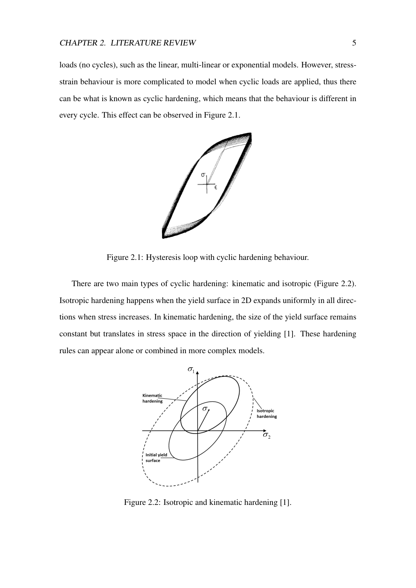loads (no cycles), such as the linear, multi-linear or exponential models. However, stressstrain behaviour is more complicated to model when cyclic loads are applied, thus there can be what is known as cyclic hardening, which means that the behaviour is different in every cycle. This effect can be observed in Figure [2.1.](#page-13-0)



<span id="page-13-0"></span>Figure 2.1: Hysteresis loop with cyclic hardening behaviour.

There are two main types of cyclic hardening: kinematic and isotropic (Figure [2.2\)](#page-13-1). Isotropic hardening happens when the yield surface in 2D expands uniformly in all directions when stress increases. In kinematic hardening, the size of the yield surface remains constant but translates in stress space in the direction of yielding [\[1\]](#page-46-1). These hardening rules can appear alone or combined in more complex models.



<span id="page-13-1"></span>Figure 2.2: Isotropic and kinematic hardening [\[1\]](#page-46-1).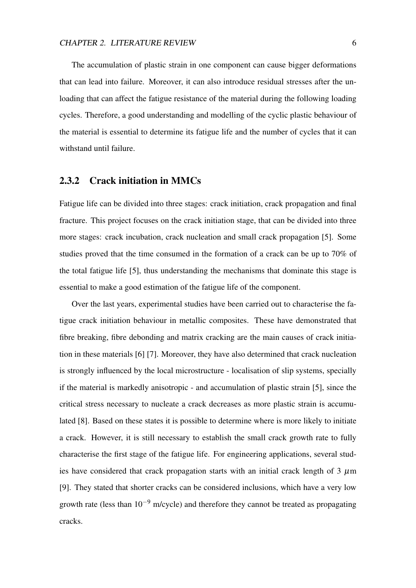The accumulation of plastic strain in one component can cause bigger deformations that can lead into failure. Moreover, it can also introduce residual stresses after the unloading that can affect the fatigue resistance of the material during the following loading cycles. Therefore, a good understanding and modelling of the cyclic plastic behaviour of the material is essential to determine its fatigue life and the number of cycles that it can withstand until failure.

#### <span id="page-14-0"></span>2.3.2 Crack initiation in MMCs

Fatigue life can be divided into three stages: crack initiation, crack propagation and final fracture. This project focuses on the crack initiation stage, that can be divided into three more stages: crack incubation, crack nucleation and small crack propagation [\[5\]](#page-46-5). Some studies proved that the time consumed in the formation of a crack can be up to 70% of the total fatigue life [\[5\]](#page-46-5), thus understanding the mechanisms that dominate this stage is essential to make a good estimation of the fatigue life of the component.

Over the last years, experimental studies have been carried out to characterise the fatigue crack initiation behaviour in metallic composites. These have demonstrated that fibre breaking, fibre debonding and matrix cracking are the main causes of crack initiation in these materials [\[6\]](#page-46-6) [\[7\]](#page-46-7). Moreover, they have also determined that crack nucleation is strongly influenced by the local microstructure - localisation of slip systems, specially if the material is markedly anisotropic - and accumulation of plastic strain [\[5\]](#page-46-5), since the critical stress necessary to nucleate a crack decreases as more plastic strain is accumulated [\[8\]](#page-47-0). Based on these states it is possible to determine where is more likely to initiate a crack. However, it is still necessary to establish the small crack growth rate to fully characterise the first stage of the fatigue life. For engineering applications, several studies have considered that crack propagation starts with an initial crack length of  $3 \mu m$ [\[9\]](#page-47-1). They stated that shorter cracks can be considered inclusions, which have a very low growth rate (less than  $10^{-9}$  m/cycle) and therefore they cannot be treated as propagating cracks.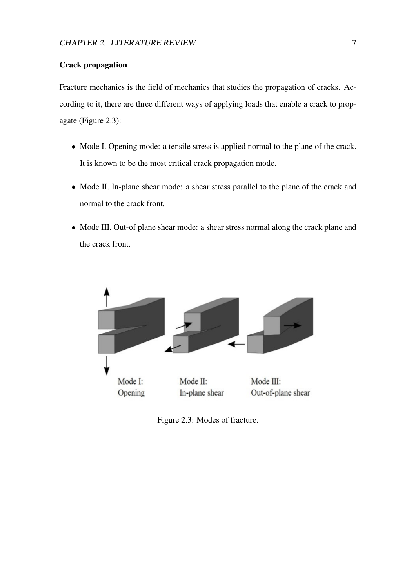#### Crack propagation

Fracture mechanics is the field of mechanics that studies the propagation of cracks. According to it, there are three different ways of applying loads that enable a crack to propagate (Figure [2.3\)](#page-15-0):

- Mode I. Opening mode: a tensile stress is applied normal to the plane of the crack. It is known to be the most critical crack propagation mode.
- Mode II. In-plane shear mode: a shear stress parallel to the plane of the crack and normal to the crack front.
- Mode III. Out-of plane shear mode: a shear stress normal along the crack plane and the crack front.

<span id="page-15-0"></span>

Figure 2.3: Modes of fracture.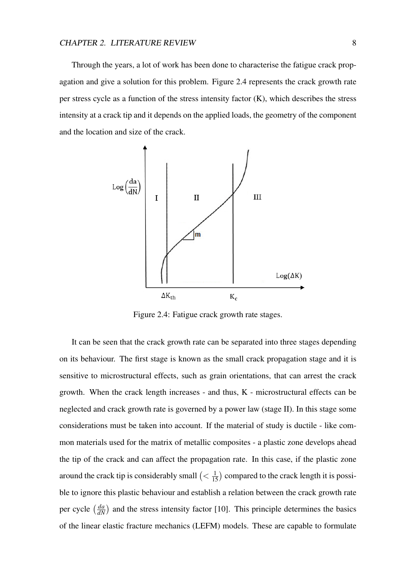Through the years, a lot of work has been done to characterise the fatigue crack propagation and give a solution for this problem. Figure [2.4](#page-16-0) represents the crack growth rate per stress cycle as a function of the stress intensity factor (K), which describes the stress intensity at a crack tip and it depends on the applied loads, the geometry of the component and the location and size of the crack.



<span id="page-16-0"></span>Figure 2.4: Fatigue crack growth rate stages.

It can be seen that the crack growth rate can be separated into three stages depending on its behaviour. The first stage is known as the small crack propagation stage and it is sensitive to microstructural effects, such as grain orientations, that can arrest the crack growth. When the crack length increases - and thus, K - microstructural effects can be neglected and crack growth rate is governed by a power law (stage II). In this stage some considerations must be taken into account. If the material of study is ductile - like common materials used for the matrix of metallic composites - a plastic zone develops ahead the tip of the crack and can affect the propagation rate. In this case, if the plastic zone around the crack tip is considerably small  $\left( \langle \frac{1}{15} \rangle \right)$  compared to the crack length it is possible to ignore this plastic behaviour and establish a relation between the crack growth rate per cycle  $\left(\frac{da}{dN}\right)$  and the stress intensity factor [\[10\]](#page-47-2). This principle determines the basics of the linear elastic fracture mechanics (LEFM) models. These are capable to formulate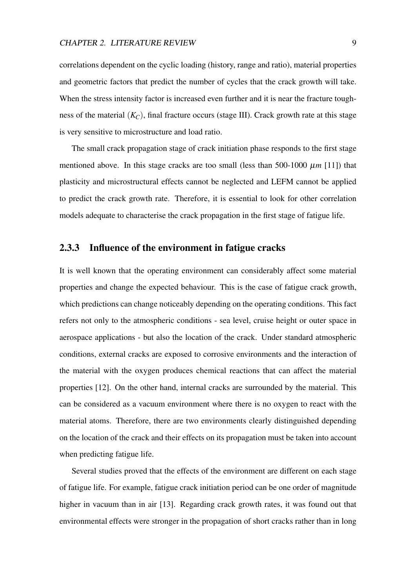correlations dependent on the cyclic loading (history, range and ratio), material properties and geometric factors that predict the number of cycles that the crack growth will take. When the stress intensity factor is increased even further and it is near the fracture toughness of the material  $(K_C)$ , final fracture occurs (stage III). Crack growth rate at this stage is very sensitive to microstructure and load ratio.

The small crack propagation stage of crack initiation phase responds to the first stage mentioned above. In this stage cracks are too small (less than 500-1000  $\mu$ *m* [\[11\]](#page-47-3)) that plasticity and microstructural effects cannot be neglected and LEFM cannot be applied to predict the crack growth rate. Therefore, it is essential to look for other correlation models adequate to characterise the crack propagation in the first stage of fatigue life.

#### <span id="page-17-0"></span>2.3.3 Influence of the environment in fatigue cracks

It is well known that the operating environment can considerably affect some material properties and change the expected behaviour. This is the case of fatigue crack growth, which predictions can change noticeably depending on the operating conditions. This fact refers not only to the atmospheric conditions - sea level, cruise height or outer space in aerospace applications - but also the location of the crack. Under standard atmospheric conditions, external cracks are exposed to corrosive environments and the interaction of the material with the oxygen produces chemical reactions that can affect the material properties [\[12\]](#page-47-4). On the other hand, internal cracks are surrounded by the material. This can be considered as a vacuum environment where there is no oxygen to react with the material atoms. Therefore, there are two environments clearly distinguished depending on the location of the crack and their effects on its propagation must be taken into account when predicting fatigue life.

Several studies proved that the effects of the environment are different on each stage of fatigue life. For example, fatigue crack initiation period can be one order of magnitude higher in vacuum than in air [\[13\]](#page-47-5). Regarding crack growth rates, it was found out that environmental effects were stronger in the propagation of short cracks rather than in long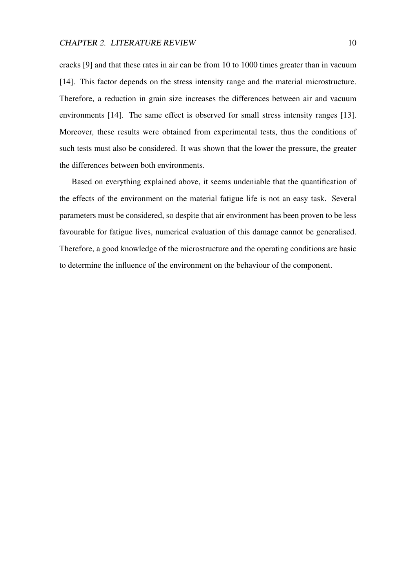cracks [\[9\]](#page-47-1) and that these rates in air can be from 10 to 1000 times greater than in vacuum [\[14\]](#page-47-6). This factor depends on the stress intensity range and the material microstructure. Therefore, a reduction in grain size increases the differences between air and vacuum environments [\[14\]](#page-47-6). The same effect is observed for small stress intensity ranges [\[13\]](#page-47-5). Moreover, these results were obtained from experimental tests, thus the conditions of such tests must also be considered. It was shown that the lower the pressure, the greater the differences between both environments.

Based on everything explained above, it seems undeniable that the quantification of the effects of the environment on the material fatigue life is not an easy task. Several parameters must be considered, so despite that air environment has been proven to be less favourable for fatigue lives, numerical evaluation of this damage cannot be generalised. Therefore, a good knowledge of the microstructure and the operating conditions are basic to determine the influence of the environment on the behaviour of the component.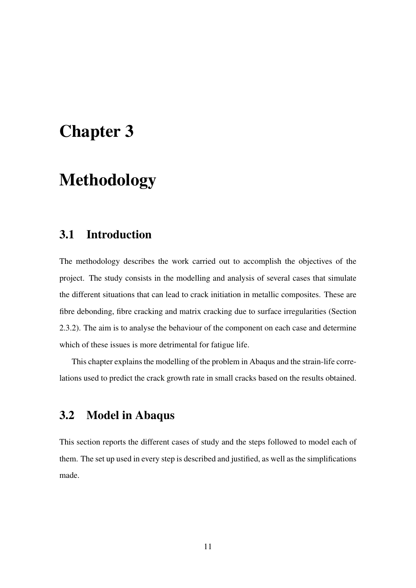## <span id="page-19-0"></span>Chapter 3

## Methodology

#### <span id="page-19-1"></span>3.1 Introduction

The methodology describes the work carried out to accomplish the objectives of the project. The study consists in the modelling and analysis of several cases that simulate the different situations that can lead to crack initiation in metallic composites. These are fibre debonding, fibre cracking and matrix cracking due to surface irregularities (Section [2.3.2\)](#page-14-0). The aim is to analyse the behaviour of the component on each case and determine which of these issues is more detrimental for fatigue life.

This chapter explains the modelling of the problem in Abaqus and the strain-life correlations used to predict the crack growth rate in small cracks based on the results obtained.

### <span id="page-19-2"></span>3.2 Model in Abaqus

This section reports the different cases of study and the steps followed to model each of them. The set up used in every step is described and justified, as well as the simplifications made.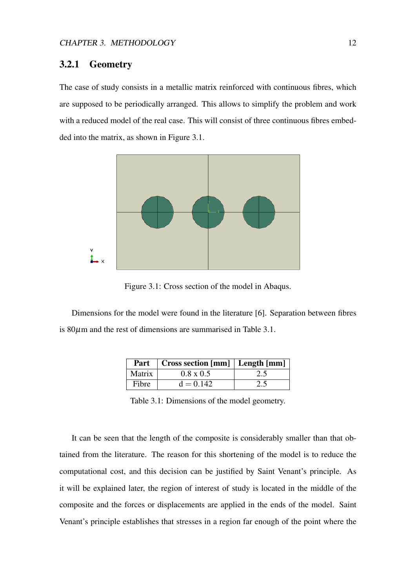#### 3.2.1 Geometry

The case of study consists in a metallic matrix reinforced with continuous fibres, which are supposed to be periodically arranged. This allows to simplify the problem and work with a reduced model of the real case. This will consist of three continuous fibres embedded into the matrix, as shown in Figure [3.1.](#page-20-0)



<span id="page-20-0"></span>Figure 3.1: Cross section of the model in Abaqus.

Dimensions for the model were found in the literature [\[6\]](#page-46-6). Separation between fibres is  $80\mu$ m and the rest of dimensions are summarised in Table [3.1.](#page-20-1)

|        | <b>Part</b>   Cross section [mm]   Length [mm] |     |
|--------|------------------------------------------------|-----|
| Matrix | $0.8 \times 0.5$                               | 2.5 |
| Fibre  | $d = 0.142$                                    | 2.5 |

<span id="page-20-1"></span>Table 3.1: Dimensions of the model geometry.

It can be seen that the length of the composite is considerably smaller than that obtained from the literature. The reason for this shortening of the model is to reduce the computational cost, and this decision can be justified by Saint Venant's principle. As it will be explained later, the region of interest of study is located in the middle of the composite and the forces or displacements are applied in the ends of the model. Saint Venant's principle establishes that stresses in a region far enough of the point where the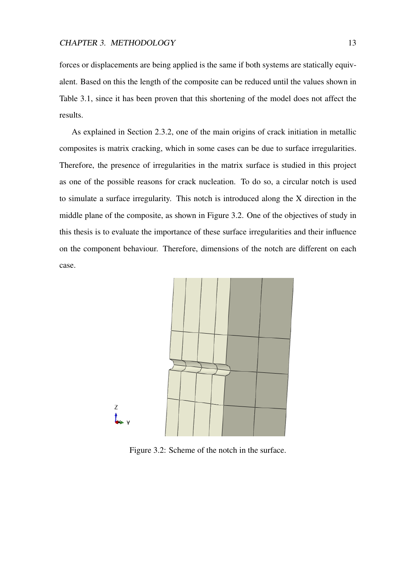forces or displacements are being applied is the same if both systems are statically equivalent. Based on this the length of the composite can be reduced until the values shown in Table [3.1,](#page-20-1) since it has been proven that this shortening of the model does not affect the results.

As explained in Section [2.3.2,](#page-14-0) one of the main origins of crack initiation in metallic composites is matrix cracking, which in some cases can be due to surface irregularities. Therefore, the presence of irregularities in the matrix surface is studied in this project as one of the possible reasons for crack nucleation. To do so, a circular notch is used to simulate a surface irregularity. This notch is introduced along the X direction in the middle plane of the composite, as shown in Figure [3.2.](#page-21-0) One of the objectives of study in this thesis is to evaluate the importance of these surface irregularities and their influence on the component behaviour. Therefore, dimensions of the notch are different on each case.



<span id="page-21-0"></span>Figure 3.2: Scheme of the notch in the surface.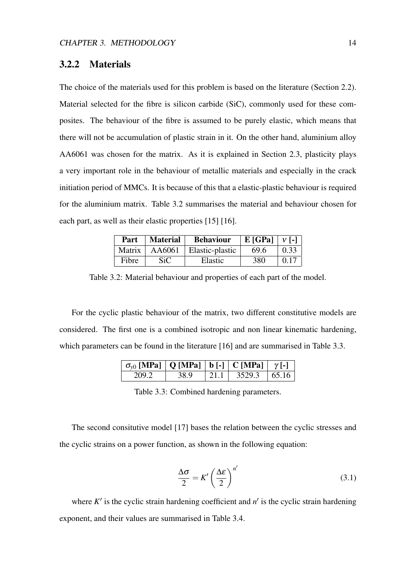#### <span id="page-22-2"></span>3.2.2 Materials

The choice of the materials used for this problem is based on the literature (Section [2.2\)](#page-11-2). Material selected for the fibre is silicon carbide (SiC), commonly used for these composites. The behaviour of the fibre is assumed to be purely elastic, which means that there will not be accumulation of plastic strain in it. On the other hand, aluminium alloy AA6061 was chosen for the matrix. As it is explained in Section [2.3,](#page-12-0) plasticity plays a very important role in the behaviour of metallic materials and especially in the crack initiation period of MMCs. It is because of this that a elastic-plastic behaviour is required for the aluminium matrix. Table [3.2](#page-22-0) summarises the material and behaviour chosen for each part, as well as their elastic properties [\[15\]](#page-47-7) [\[16\]](#page-48-0).

<span id="page-22-0"></span>

|        | Part   Material | <b>Behaviour</b> | $ E[GPa]  V[-]$ |      |
|--------|-----------------|------------------|-----------------|------|
| Matrix | AA6061          | Elastic-plastic  | 69.6            | 0.33 |
| Fibre  | <b>SiC</b>      | Elastic          | 380             | 0.17 |

Table 3.2: Material behaviour and properties of each part of the model.

For the cyclic plastic behaviour of the matrix, two different constitutive models are considered. The first one is a combined isotropic and non linear kinematic hardening, which parameters can be found in the literature [\[16\]](#page-48-0) and are summarised in Table [3.3.](#page-22-1)

| $\sigma_{v0}$ [MPa]   Q [MPa]   b [-]   C [MPa]   $\gamma$ [-] |      |                  |  |
|----------------------------------------------------------------|------|------------------|--|
| 209.2                                                          | 38.9 | $3529.3$   65.16 |  |

<span id="page-22-1"></span>Table 3.3: Combined hardening parameters.

The second consitutive model [\[17\]](#page-48-1) bases the relation between the cyclic stresses and the cyclic strains on a power function, as shown in the following equation:

$$
\frac{\Delta \sigma}{2} = K' \left(\frac{\Delta \varepsilon}{2}\right)^{n'}\tag{3.1}
$$

where  $K'$  is the cyclic strain hardening coefficient and  $n'$  is the cyclic strain hardening exponent, and their values are summarised in Table [3.4.](#page-23-1)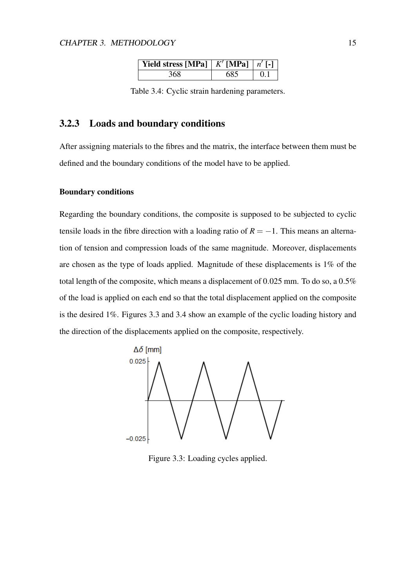<span id="page-23-1"></span>

| <b>Yield stress [MPa]</b>   $K'$ <b>[MPa]</b>   $n'$ [-] |     |     |
|----------------------------------------------------------|-----|-----|
| 368                                                      | 685 | 0.1 |

Table 3.4: Cyclic strain hardening parameters.

#### <span id="page-23-2"></span>3.2.3 Loads and boundary conditions

After assigning materials to the fibres and the matrix, the interface between them must be defined and the boundary conditions of the model have to be applied.

#### Boundary conditions

Regarding the boundary conditions, the composite is supposed to be subjected to cyclic tensile loads in the fibre direction with a loading ratio of  $R = -1$ . This means an alternation of tension and compression loads of the same magnitude. Moreover, displacements are chosen as the type of loads applied. Magnitude of these displacements is 1% of the total length of the composite, which means a displacement of 0.025 mm. To do so, a 0.5% of the load is applied on each end so that the total displacement applied on the composite is the desired 1%. Figures [3.3](#page-23-0) and [3.4](#page-24-0) show an example of the cyclic loading history and the direction of the displacements applied on the composite, respectively.



<span id="page-23-0"></span>Figure 3.3: Loading cycles applied.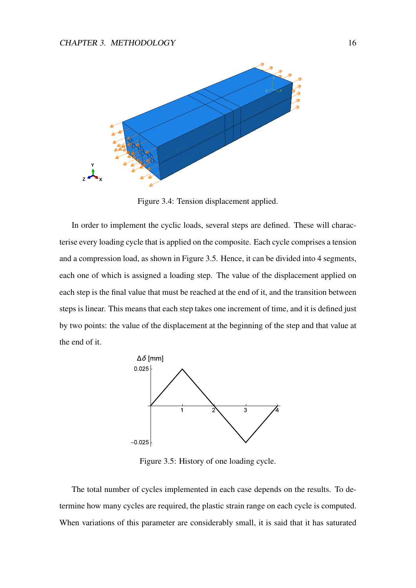

<span id="page-24-0"></span>Figure 3.4: Tension displacement applied.

In order to implement the cyclic loads, several steps are defined. These will characterise every loading cycle that is applied on the composite. Each cycle comprises a tension and a compression load, as shown in Figure [3.5.](#page-24-1) Hence, it can be divided into 4 segments, each one of which is assigned a loading step. The value of the displacement applied on each step is the final value that must be reached at the end of it, and the transition between steps is linear. This means that each step takes one increment of time, and it is defined just by two points: the value of the displacement at the beginning of the step and that value at the end of it.



<span id="page-24-1"></span>Figure 3.5: History of one loading cycle.

The total number of cycles implemented in each case depends on the results. To determine how many cycles are required, the plastic strain range on each cycle is computed. When variations of this parameter are considerably small, it is said that it has saturated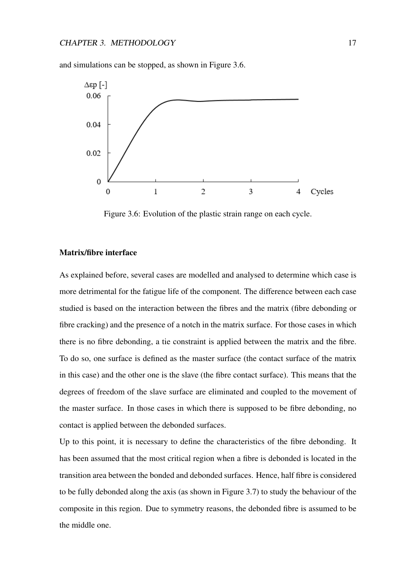



<span id="page-25-0"></span>Figure 3.6: Evolution of the plastic strain range on each cycle.

#### <span id="page-25-1"></span>Matrix/fibre interface

As explained before, several cases are modelled and analysed to determine which case is more detrimental for the fatigue life of the component. The difference between each case studied is based on the interaction between the fibres and the matrix (fibre debonding or fibre cracking) and the presence of a notch in the matrix surface. For those cases in which there is no fibre debonding, a tie constraint is applied between the matrix and the fibre. To do so, one surface is defined as the master surface (the contact surface of the matrix in this case) and the other one is the slave (the fibre contact surface). This means that the degrees of freedom of the slave surface are eliminated and coupled to the movement of the master surface. In those cases in which there is supposed to be fibre debonding, no contact is applied between the debonded surfaces.

Up to this point, it is necessary to define the characteristics of the fibre debonding. It has been assumed that the most critical region when a fibre is debonded is located in the transition area between the bonded and debonded surfaces. Hence, half fibre is considered to be fully debonded along the axis (as shown in Figure [3.7\)](#page-26-0) to study the behaviour of the composite in this region. Due to symmetry reasons, the debonded fibre is assumed to be the middle one.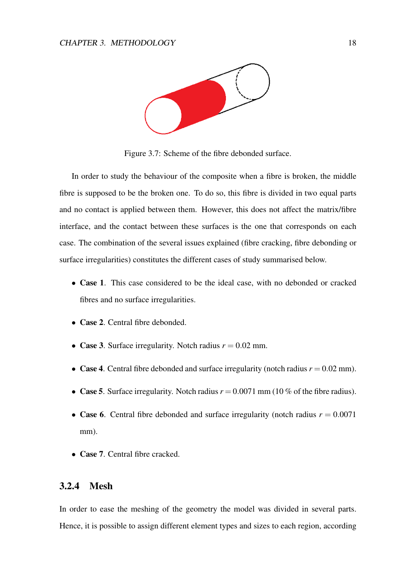<span id="page-26-0"></span>

Figure 3.7: Scheme of the fibre debonded surface.

In order to study the behaviour of the composite when a fibre is broken, the middle fibre is supposed to be the broken one. To do so, this fibre is divided in two equal parts and no contact is applied between them. However, this does not affect the matrix/fibre interface, and the contact between these surfaces is the one that corresponds on each case. The combination of the several issues explained (fibre cracking, fibre debonding or surface irregularities) constitutes the different cases of study summarised below.

- Case 1. This case considered to be the ideal case, with no debonded or cracked fibres and no surface irregularities.
- Case 2. Central fibre debonded.
- Case 3. Surface irregularity. Notch radius  $r = 0.02$  mm.
- Case 4. Central fibre debonded and surface irregularity (notch radius  $r = 0.02$  mm).
- Case 5. Surface irregularity. Notch radius  $r = 0.0071$  mm (10 % of the fibre radius).
- Case 6. Central fibre debonded and surface irregularity (notch radius  $r = 0.0071$ ) mm).
- Case 7. Central fibre cracked.

#### 3.2.4 Mesh

In order to ease the meshing of the geometry the model was divided in several parts. Hence, it is possible to assign different element types and sizes to each region, according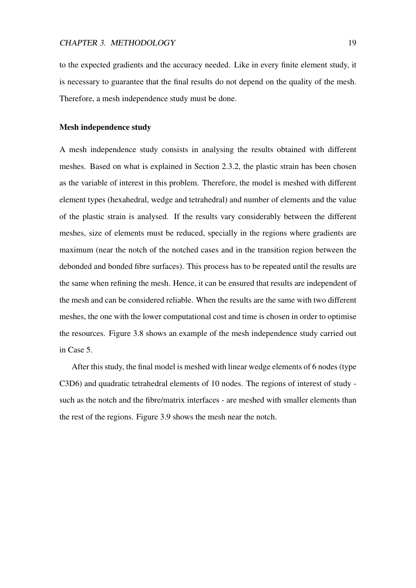to the expected gradients and the accuracy needed. Like in every finite element study, it is necessary to guarantee that the final results do not depend on the quality of the mesh. Therefore, a mesh independence study must be done.

#### Mesh independence study

A mesh independence study consists in analysing the results obtained with different meshes. Based on what is explained in Section [2.3.2,](#page-14-0) the plastic strain has been chosen as the variable of interest in this problem. Therefore, the model is meshed with different element types (hexahedral, wedge and tetrahedral) and number of elements and the value of the plastic strain is analysed. If the results vary considerably between the different meshes, size of elements must be reduced, specially in the regions where gradients are maximum (near the notch of the notched cases and in the transition region between the debonded and bonded fibre surfaces). This process has to be repeated until the results are the same when refining the mesh. Hence, it can be ensured that results are independent of the mesh and can be considered reliable. When the results are the same with two different meshes, the one with the lower computational cost and time is chosen in order to optimise the resources. Figure [3.8](#page-28-1) shows an example of the mesh independence study carried out in Case 5.

After this study, the final model is meshed with linear wedge elements of 6 nodes (type C3D6) and quadratic tetrahedral elements of 10 nodes. The regions of interest of study such as the notch and the fibre/matrix interfaces - are meshed with smaller elements than the rest of the regions. Figure [3.9](#page-28-2) shows the mesh near the notch.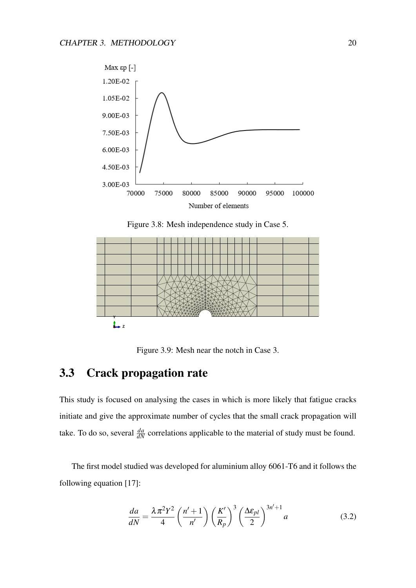

<span id="page-28-1"></span>Figure 3.8: Mesh independence study in Case 5.



<span id="page-28-2"></span>Figure 3.9: Mesh near the notch in Case 3.

### <span id="page-28-0"></span>3.3 Crack propagation rate

This study is focused on analysing the cases in which is more likely that fatigue cracks initiate and give the approximate number of cycles that the small crack propagation will take. To do so, several  $\frac{da}{dN}$  correlations applicable to the material of study must be found.

The first model studied was developed for aluminium alloy 6061-T6 and it follows the following equation [\[17\]](#page-48-1):

$$
\frac{da}{dN} = \frac{\lambda \pi^2 Y^2}{4} \left(\frac{n'+1}{n'}\right) \left(\frac{K'}{R_p}\right)^3 \left(\frac{\Delta \varepsilon_{pl}}{2}\right)^{3n'+1} a \tag{3.2}
$$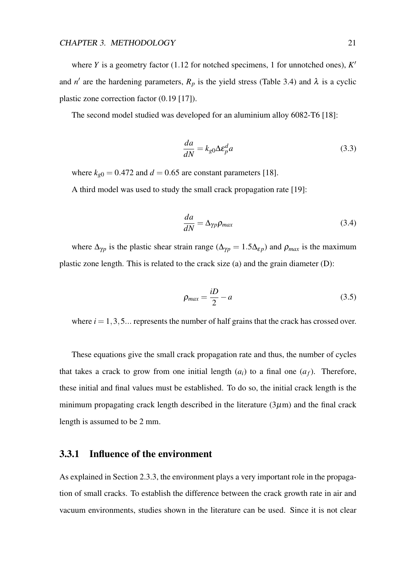where *Y* is a geometry factor (1.12 for notched specimens, 1 for unnotched ones),  $K'$ and *n'* are the hardening parameters,  $R_p$  is the yield stress (Table [3.4\)](#page-23-1) and  $\lambda$  is a cyclic plastic zone correction factor (0.19 [\[17\]](#page-48-1)).

The second model studied was developed for an aluminium alloy 6082-T6 [\[18\]](#page-48-2):

$$
\frac{da}{dN} = k_{g0} \Delta \varepsilon_p^d a \tag{3.3}
$$

where  $k_{g0} = 0.472$  and  $d = 0.65$  are constant parameters [\[18\]](#page-48-2).

A third model was used to study the small crack propagation rate [\[19\]](#page-48-3):

$$
\frac{da}{dN} = \Delta_{\gamma p} \rho_{max} \tag{3.4}
$$

where  $\Delta_{\gamma p}$  is the plastic shear strain range ( $\Delta_{\gamma p} = 1.5 \Delta_{\epsilon p}$ ) and  $\rho_{max}$  is the maximum plastic zone length. This is related to the crack size (a) and the grain diameter (D):

$$
\rho_{max} = \frac{iD}{2} - a \tag{3.5}
$$

where  $i = 1, 3, 5...$  represents the number of half grains that the crack has crossed over.

These equations give the small crack propagation rate and thus, the number of cycles that takes a crack to grow from one initial length  $(a_i)$  to a final one  $(a_f)$ . Therefore, these initial and final values must be established. To do so, the initial crack length is the minimum propagating crack length described in the literature  $(3\mu m)$  and the final crack length is assumed to be 2 mm.

#### <span id="page-29-0"></span>3.3.1 Influence of the environment

As explained in Section [2.3.3,](#page-17-0) the environment plays a very important role in the propagation of small cracks. To establish the difference between the crack growth rate in air and vacuum environments, studies shown in the literature can be used. Since it is not clear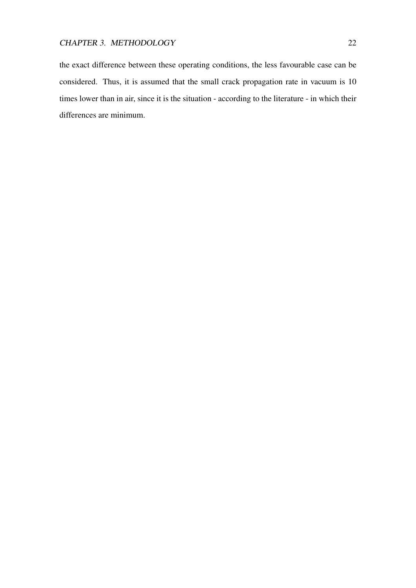the exact difference between these operating conditions, the less favourable case can be considered. Thus, it is assumed that the small crack propagation rate in vacuum is 10 times lower than in air, since it is the situation - according to the literature - in which their differences are minimum.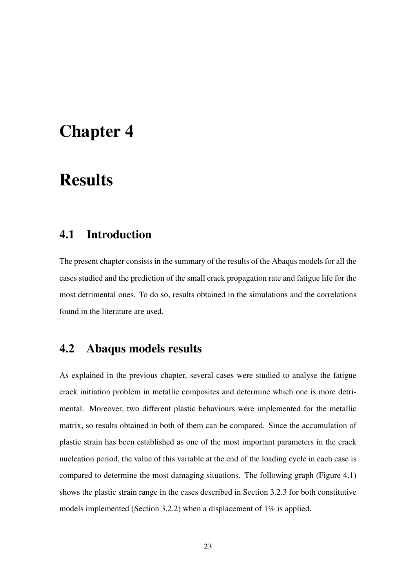## <span id="page-31-0"></span>Chapter 4

## **Results**

### <span id="page-31-1"></span>4.1 Introduction

The present chapter consists in the summary of the results of the Abaqus models for all the cases studied and the prediction of the small crack propagation rate and fatigue life for the most detrimental ones. To do so, results obtained in the simulations and the correlations found in the literature are used.

#### <span id="page-31-2"></span>4.2 Abaqus models results

As explained in the previous chapter, several cases were studied to analyse the fatigue crack initiation problem in metallic composites and determine which one is more detrimental. Moreover, two different plastic behaviours were implemented for the metallic matrix, so results obtained in both of them can be compared. Since the accumulation of plastic strain has been established as one of the most important parameters in the crack nucleation period, the value of this variable at the end of the loading cycle in each case is compared to determine the most damaging situations. The following graph (Figure [4.1\)](#page-32-0) shows the plastic strain range in the cases described in Section [3.2.3](#page-25-1) for both constitutive models implemented (Section [3.2.2\)](#page-22-2) when a displacement of 1% is applied.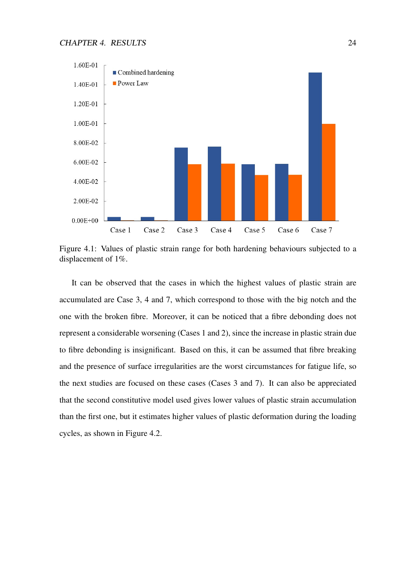

<span id="page-32-0"></span>Figure 4.1: Values of plastic strain range for both hardening behaviours subjected to a displacement of 1%.

It can be observed that the cases in which the highest values of plastic strain are accumulated are Case 3, 4 and 7, which correspond to those with the big notch and the one with the broken fibre. Moreover, it can be noticed that a fibre debonding does not represent a considerable worsening (Cases 1 and 2), since the increase in plastic strain due to fibre debonding is insignificant. Based on this, it can be assumed that fibre breaking and the presence of surface irregularities are the worst circumstances for fatigue life, so the next studies are focused on these cases (Cases 3 and 7). It can also be appreciated that the second constitutive model used gives lower values of plastic strain accumulation than the first one, but it estimates higher values of plastic deformation during the loading cycles, as shown in Figure [4.2.](#page-33-0)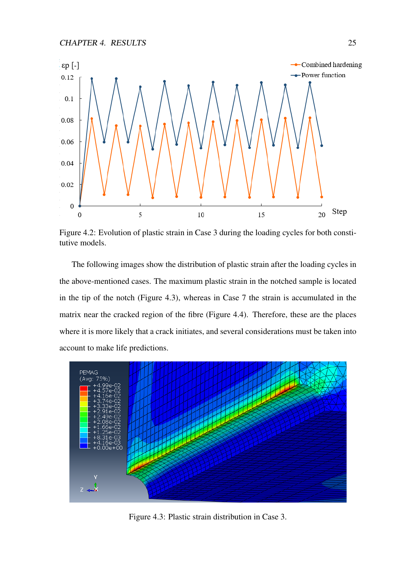CHAPTER 4. RESULTS 25



<span id="page-33-0"></span>Figure 4.2: Evolution of plastic strain in Case 3 during the loading cycles for both constitutive models.

The following images show the distribution of plastic strain after the loading cycles in the above-mentioned cases. The maximum plastic strain in the notched sample is located in the tip of the notch (Figure [4.3\)](#page-33-1), whereas in Case 7 the strain is accumulated in the matrix near the cracked region of the fibre (Figure [4.4\)](#page-34-1). Therefore, these are the places where it is more likely that a crack initiates, and several considerations must be taken into account to make life predictions.



<span id="page-33-1"></span>Figure 4.3: Plastic strain distribution in Case 3.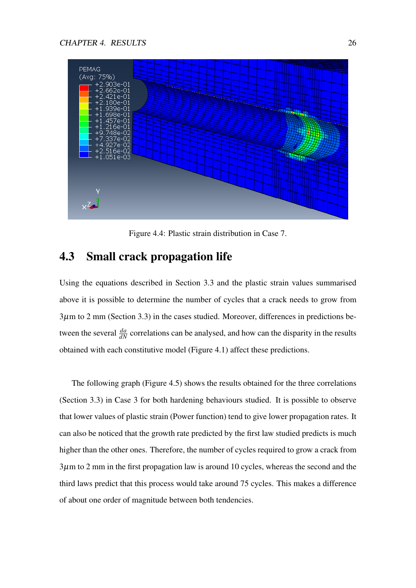

<span id="page-34-1"></span>Figure 4.4: Plastic strain distribution in Case 7.

### <span id="page-34-0"></span>4.3 Small crack propagation life

Using the equations described in Section [3.3](#page-28-0) and the plastic strain values summarised above it is possible to determine the number of cycles that a crack needs to grow from  $3\mu$ m to  $2 \text{ mm}$  (Section [3.3\)](#page-28-0) in the cases studied. Moreover, differences in predictions between the several  $\frac{da}{dN}$  correlations can be analysed, and how can the disparity in the results obtained with each constitutive model (Figure [4.1\)](#page-32-0) affect these predictions.

The following graph (Figure [4.5\)](#page-35-0) shows the results obtained for the three correlations (Section [3.3\)](#page-28-0) in Case 3 for both hardening behaviours studied. It is possible to observe that lower values of plastic strain (Power function) tend to give lower propagation rates. It can also be noticed that the growth rate predicted by the first law studied predicts is much higher than the other ones. Therefore, the number of cycles required to grow a crack from  $3\mu$ m to 2 mm in the first propagation law is around 10 cycles, whereas the second and the third laws predict that this process would take around 75 cycles. This makes a difference of about one order of magnitude between both tendencies.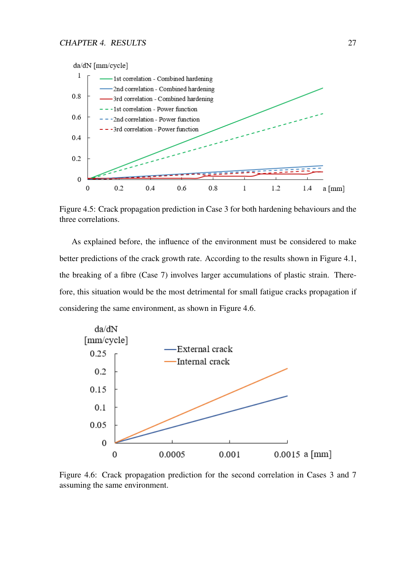

<span id="page-35-0"></span>Figure 4.5: Crack propagation prediction in Case 3 for both hardening behaviours and the three correlations.

As explained before, the influence of the environment must be considered to make better predictions of the crack growth rate. According to the results shown in Figure [4.1,](#page-32-0) the breaking of a fibre (Case 7) involves larger accumulations of plastic strain. Therefore, this situation would be the most detrimental for small fatigue cracks propagation if considering the same environment, as shown in Figure [4.6.](#page-35-1)



<span id="page-35-1"></span>Figure 4.6: Crack propagation prediction for the second correlation in Cases 3 and 7 assuming the same environment.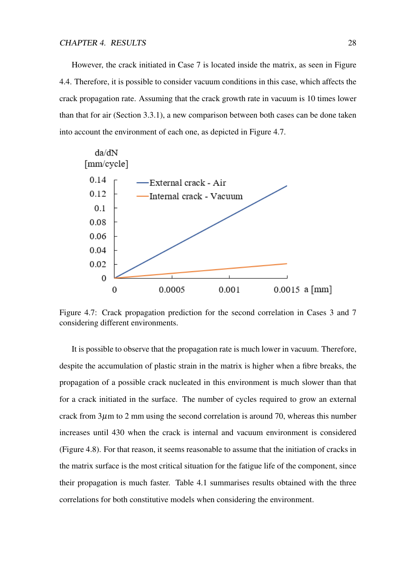However, the crack initiated in Case 7 is located inside the matrix, as seen in Figure [4.4.](#page-34-1) Therefore, it is possible to consider vacuum conditions in this case, which affects the crack propagation rate. Assuming that the crack growth rate in vacuum is 10 times lower than that for air (Section [3.3.1\)](#page-29-0), a new comparison between both cases can be done taken into account the environment of each one, as depicted in Figure [4.7.](#page-36-0)



<span id="page-36-0"></span>Figure 4.7: Crack propagation prediction for the second correlation in Cases 3 and 7 considering different environments.

It is possible to observe that the propagation rate is much lower in vacuum. Therefore, despite the accumulation of plastic strain in the matrix is higher when a fibre breaks, the propagation of a possible crack nucleated in this environment is much slower than that for a crack initiated in the surface. The number of cycles required to grow an external crack from  $3\mu$ m to 2 mm using the second correlation is around 70, whereas this number increases until 430 when the crack is internal and vacuum environment is considered (Figure [4.8\)](#page-37-0). For that reason, it seems reasonable to assume that the initiation of cracks in the matrix surface is the most critical situation for the fatigue life of the component, since their propagation is much faster. Table [4.1](#page-37-1) summarises results obtained with the three correlations for both constitutive models when considering the environment.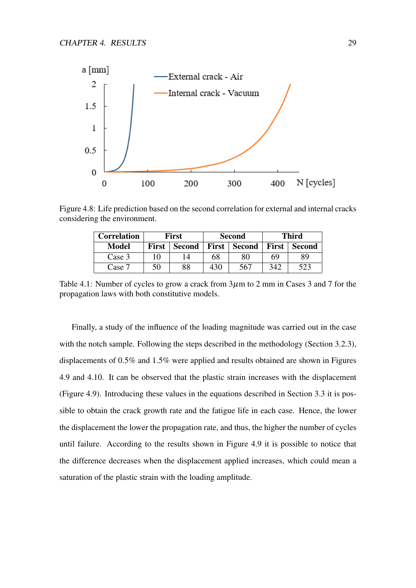

Figure 4.8: Life prediction based on the second correlation for external and internal cracks considering the environment.

<span id="page-37-0"></span>

| <b>Correlation</b> | First        |               | <b>Second</b> |               | Third        |               |
|--------------------|--------------|---------------|---------------|---------------|--------------|---------------|
| <b>Model</b>       | <b>First</b> | <b>Second</b> | <b>First</b>  | <b>Second</b> | <b>First</b> | <b>Second</b> |
| Case 3             | 10           |               | 68            | 80            | 69           | 89            |
| Case 7             | 50           | 88            | 430           | 567           | 342          | 523           |

<span id="page-37-1"></span>Table 4.1: Number of cycles to grow a crack from  $3\mu$ m to 2 mm in Cases 3 and 7 for the propagation laws with both constitutive models.

Finally, a study of the influence of the loading magnitude was carried out in the case with the notch sample. Following the steps described in the methodology (Section [3.2.3\)](#page-23-2), displacements of 0.5% and 1.5% were applied and results obtained are shown in Figures [4.9](#page-38-0) and [4.10.](#page-38-1) It can be observed that the plastic strain increases with the displacement (Figure [4.9\)](#page-38-0). Introducing these values in the equations described in Section [3.3](#page-28-0) it is possible to obtain the crack growth rate and the fatigue life in each case. Hence, the lower the displacement the lower the propagation rate, and thus, the higher the number of cycles until failure. According to the results shown in Figure [4.9](#page-38-0) it is possible to notice that the difference decreases when the displacement applied increases, which could mean a saturation of the plastic strain with the loading amplitude.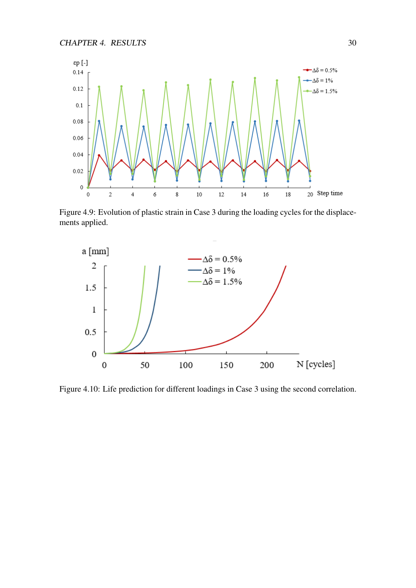

<span id="page-38-0"></span>Figure 4.9: Evolution of plastic strain in Case 3 during the loading cycles for the displacements applied.



<span id="page-38-1"></span>Figure 4.10: Life prediction for different loadings in Case 3 using the second correlation.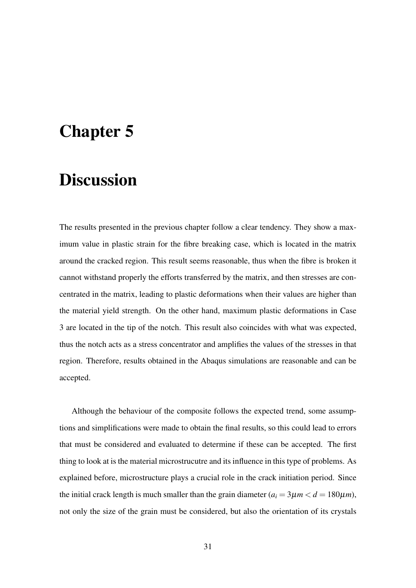## <span id="page-39-0"></span>Chapter 5

## **Discussion**

The results presented in the previous chapter follow a clear tendency. They show a maximum value in plastic strain for the fibre breaking case, which is located in the matrix around the cracked region. This result seems reasonable, thus when the fibre is broken it cannot withstand properly the efforts transferred by the matrix, and then stresses are concentrated in the matrix, leading to plastic deformations when their values are higher than the material yield strength. On the other hand, maximum plastic deformations in Case 3 are located in the tip of the notch. This result also coincides with what was expected, thus the notch acts as a stress concentrator and amplifies the values of the stresses in that region. Therefore, results obtained in the Abaqus simulations are reasonable and can be accepted.

Although the behaviour of the composite follows the expected trend, some assumptions and simplifications were made to obtain the final results, so this could lead to errors that must be considered and evaluated to determine if these can be accepted. The first thing to look at is the material microstrucutre and its influence in this type of problems. As explained before, microstructure plays a crucial role in the crack initiation period. Since the initial crack length is much smaller than the grain diameter  $(a_i = 3\mu m < d = 180\mu m)$ , not only the size of the grain must be considered, but also the orientation of its crystals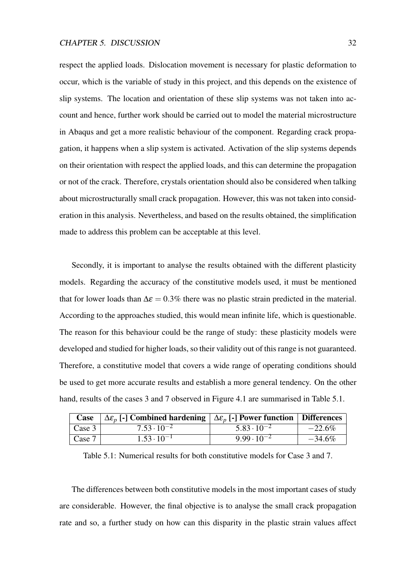respect the applied loads. Dislocation movement is necessary for plastic deformation to occur, which is the variable of study in this project, and this depends on the existence of slip systems. The location and orientation of these slip systems was not taken into account and hence, further work should be carried out to model the material microstructure in Abaqus and get a more realistic behaviour of the component. Regarding crack propagation, it happens when a slip system is activated. Activation of the slip systems depends on their orientation with respect the applied loads, and this can determine the propagation or not of the crack. Therefore, crystals orientation should also be considered when talking about microstructurally small crack propagation. However, this was not taken into consideration in this analysis. Nevertheless, and based on the results obtained, the simplification made to address this problem can be acceptable at this level.

Secondly, it is important to analyse the results obtained with the different plasticity models. Regarding the accuracy of the constitutive models used, it must be mentioned that for lower loads than  $\Delta \epsilon = 0.3\%$  there was no plastic strain predicted in the material. According to the approaches studied, this would mean infinite life, which is questionable. The reason for this behaviour could be the range of study: these plasticity models were developed and studied for higher loads, so their validity out of this range is not guaranteed. Therefore, a constitutive model that covers a wide range of operating conditions should be used to get more accurate results and establish a more general tendency. On the other hand, results of the cases 3 and 7 observed in Figure [4.1](#page-32-0) are summarised in Table [5.1.](#page-40-0)

| Case   | $\Delta \mathcal{E}_p$ [-] Combined hardening $\Delta \mathcal{E}_p$ [-] Power function   Differences |                      |           |
|--------|-------------------------------------------------------------------------------------------------------|----------------------|-----------|
| Case 3 | $7.53 \cdot 10^{-2}$                                                                                  | $5.83 \cdot 10^{-2}$ | $-22.6%$  |
| Case 7 | $1.53 \cdot 10^{-1}$                                                                                  | $9.99 \cdot 10^{-2}$ | $-34.6\%$ |

<span id="page-40-0"></span>Table 5.1: Numerical results for both constitutive models for Case 3 and 7.

The differences between both constitutive models in the most important cases of study are considerable. However, the final objective is to analyse the small crack propagation rate and so, a further study on how can this disparity in the plastic strain values affect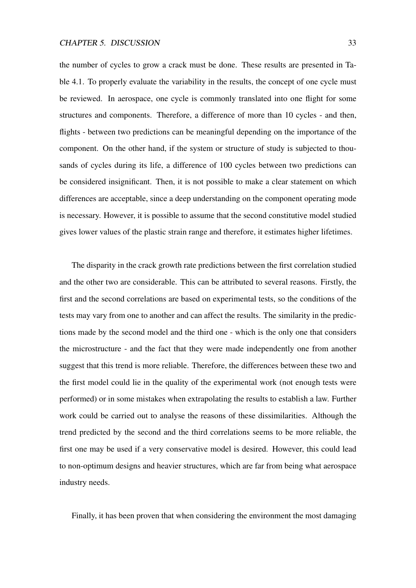the number of cycles to grow a crack must be done. These results are presented in Table [4.1.](#page-37-1) To properly evaluate the variability in the results, the concept of one cycle must be reviewed. In aerospace, one cycle is commonly translated into one flight for some structures and components. Therefore, a difference of more than 10 cycles - and then, flights - between two predictions can be meaningful depending on the importance of the component. On the other hand, if the system or structure of study is subjected to thousands of cycles during its life, a difference of 100 cycles between two predictions can be considered insignificant. Then, it is not possible to make a clear statement on which differences are acceptable, since a deep understanding on the component operating mode is necessary. However, it is possible to assume that the second constitutive model studied gives lower values of the plastic strain range and therefore, it estimates higher lifetimes.

The disparity in the crack growth rate predictions between the first correlation studied and the other two are considerable. This can be attributed to several reasons. Firstly, the first and the second correlations are based on experimental tests, so the conditions of the tests may vary from one to another and can affect the results. The similarity in the predictions made by the second model and the third one - which is the only one that considers the microstructure - and the fact that they were made independently one from another suggest that this trend is more reliable. Therefore, the differences between these two and the first model could lie in the quality of the experimental work (not enough tests were performed) or in some mistakes when extrapolating the results to establish a law. Further work could be carried out to analyse the reasons of these dissimilarities. Although the trend predicted by the second and the third correlations seems to be more reliable, the first one may be used if a very conservative model is desired. However, this could lead to non-optimum designs and heavier structures, which are far from being what aerospace industry needs.

Finally, it has been proven that when considering the environment the most damaging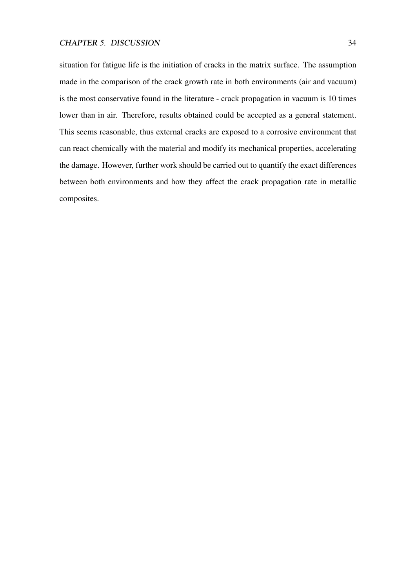situation for fatigue life is the initiation of cracks in the matrix surface. The assumption made in the comparison of the crack growth rate in both environments (air and vacuum) is the most conservative found in the literature - crack propagation in vacuum is 10 times lower than in air. Therefore, results obtained could be accepted as a general statement. This seems reasonable, thus external cracks are exposed to a corrosive environment that can react chemically with the material and modify its mechanical properties, accelerating the damage. However, further work should be carried out to quantify the exact differences between both environments and how they affect the crack propagation rate in metallic composites.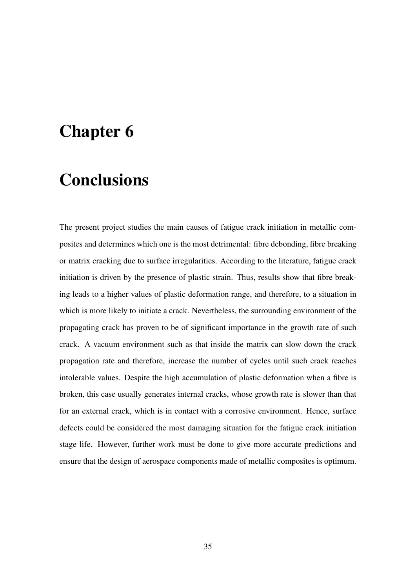## <span id="page-43-0"></span>Chapter 6

## **Conclusions**

The present project studies the main causes of fatigue crack initiation in metallic composites and determines which one is the most detrimental: fibre debonding, fibre breaking or matrix cracking due to surface irregularities. According to the literature, fatigue crack initiation is driven by the presence of plastic strain. Thus, results show that fibre breaking leads to a higher values of plastic deformation range, and therefore, to a situation in which is more likely to initiate a crack. Nevertheless, the surrounding environment of the propagating crack has proven to be of significant importance in the growth rate of such crack. A vacuum environment such as that inside the matrix can slow down the crack propagation rate and therefore, increase the number of cycles until such crack reaches intolerable values. Despite the high accumulation of plastic deformation when a fibre is broken, this case usually generates internal cracks, whose growth rate is slower than that for an external crack, which is in contact with a corrosive environment. Hence, surface defects could be considered the most damaging situation for the fatigue crack initiation stage life. However, further work must be done to give more accurate predictions and ensure that the design of aerospace components made of metallic composites is optimum.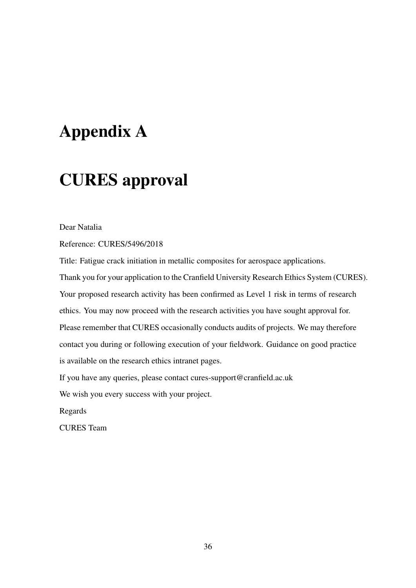## <span id="page-44-0"></span>Appendix A

## CURES approval

Dear Natalia

Reference: CURES/5496/2018

Title: Fatigue crack initiation in metallic composites for aerospace applications. Thank you for your application to the Cranfield University Research Ethics System (CURES). Your proposed research activity has been confirmed as Level 1 risk in terms of research ethics. You may now proceed with the research activities you have sought approval for. Please remember that CURES occasionally conducts audits of projects. We may therefore contact you during or following execution of your fieldwork. Guidance on good practice is available on the research ethics intranet pages.

If you have any queries, please contact cures-support@cranfield.ac.uk

We wish you every success with your project.

Regards

CURES Team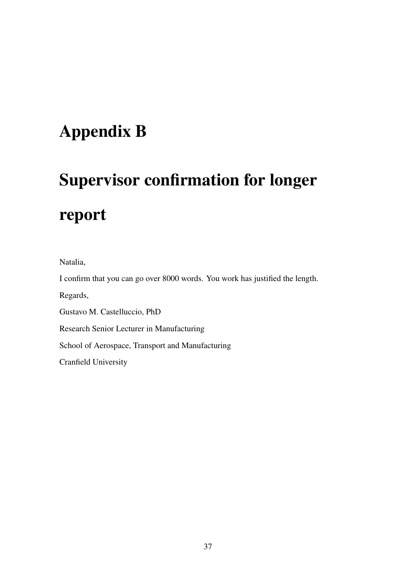## <span id="page-45-0"></span>Appendix B

# Supervisor confirmation for longer report

Natalia,

I confirm that you can go over 8000 words. You work has justified the length.

Regards,

Gustavo M. Castelluccio, PhD

Research Senior Lecturer in Manufacturing

School of Aerospace, Transport and Manufacturing

Cranfield University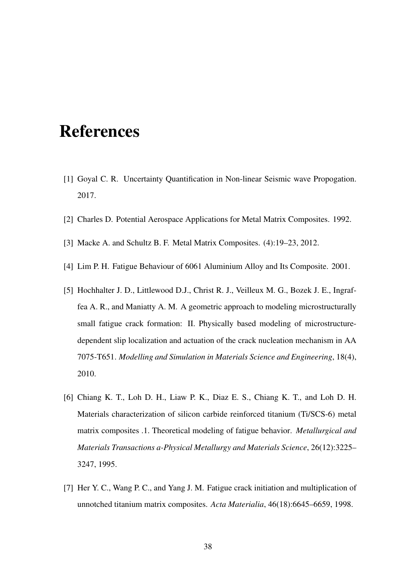## <span id="page-46-0"></span>References

- <span id="page-46-1"></span>[1] Goyal C. R. Uncertainty Quantification in Non-linear Seismic wave Propogation. 2017.
- <span id="page-46-3"></span><span id="page-46-2"></span>[2] Charles D. Potential Aerospace Applications for Metal Matrix Composites. 1992.
- <span id="page-46-4"></span>[3] Macke A. and Schultz B. F. Metal Matrix Composites. (4):19–23, 2012.
- <span id="page-46-5"></span>[4] Lim P. H. Fatigue Behaviour of 6061 Aluminium Alloy and Its Composite. 2001.
- [5] Hochhalter J. D., Littlewood D.J., Christ R. J., Veilleux M. G., Bozek J. E., Ingraffea A. R., and Maniatty A. M. A geometric approach to modeling microstructurally small fatigue crack formation: II. Physically based modeling of microstructuredependent slip localization and actuation of the crack nucleation mechanism in AA 7075-T651. *Modelling and Simulation in Materials Science and Engineering*, 18(4), 2010.
- <span id="page-46-6"></span>[6] Chiang K. T., Loh D. H., Liaw P. K., Diaz E. S., Chiang K. T., and Loh D. H. Materials characterization of silicon carbide reinforced titanium (Ti/SCS-6) metal matrix composites .1. Theoretical modeling of fatigue behavior. *Metallurgical and Materials Transactions a-Physical Metallurgy and Materials Science*, 26(12):3225– 3247, 1995.
- <span id="page-46-7"></span>[7] Her Y. C., Wang P. C., and Yang J. M. Fatigue crack initiation and multiplication of unnotched titanium matrix composites. *Acta Materialia*, 46(18):6645–6659, 1998.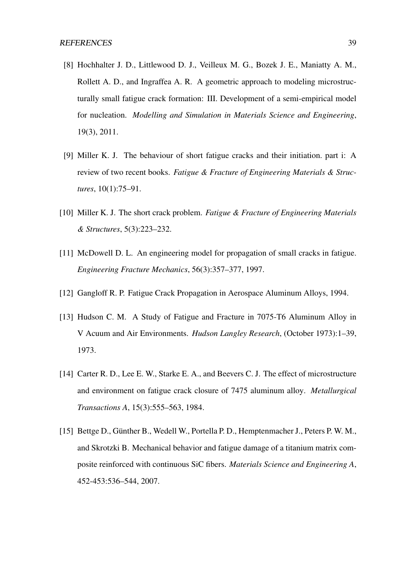- <span id="page-47-0"></span>[8] Hochhalter J. D., Littlewood D. J., Veilleux M. G., Bozek J. E., Maniatty A. M., Rollett A. D., and Ingraffea A. R. A geometric approach to modeling microstructurally small fatigue crack formation: III. Development of a semi-empirical model for nucleation. *Modelling and Simulation in Materials Science and Engineering*, 19(3), 2011.
- <span id="page-47-1"></span>[9] Miller K. J. The behaviour of short fatigue cracks and their initiation. part i: A review of two recent books. *Fatigue & Fracture of Engineering Materials & Structures*, 10(1):75–91.
- <span id="page-47-2"></span>[10] Miller K. J. The short crack problem. *Fatigue & Fracture of Engineering Materials & Structures*, 5(3):223–232.
- <span id="page-47-3"></span>[11] McDowell D. L. An engineering model for propagation of small cracks in fatigue. *Engineering Fracture Mechanics*, 56(3):357–377, 1997.
- <span id="page-47-5"></span><span id="page-47-4"></span>[12] Gangloff R. P. Fatigue Crack Propagation in Aerospace Aluminum Alloys, 1994.
- [13] Hudson C. M. A Study of Fatigue and Fracture in 7075-T6 Aluminum Alloy in V Acuum and Air Environments. *Hudson Langley Research*, (October 1973):1–39, 1973.
- <span id="page-47-6"></span>[14] Carter R. D., Lee E. W., Starke E. A., and Beevers C. J. The effect of microstructure and environment on fatigue crack closure of 7475 aluminum alloy. *Metallurgical Transactions A*, 15(3):555–563, 1984.
- <span id="page-47-7"></span>[15] Bettge D., Günther B., Wedell W., Portella P. D., Hemptenmacher J., Peters P. W. M., and Skrotzki B. Mechanical behavior and fatigue damage of a titanium matrix composite reinforced with continuous SiC fibers. *Materials Science and Engineering A*, 452-453:536–544, 2007.